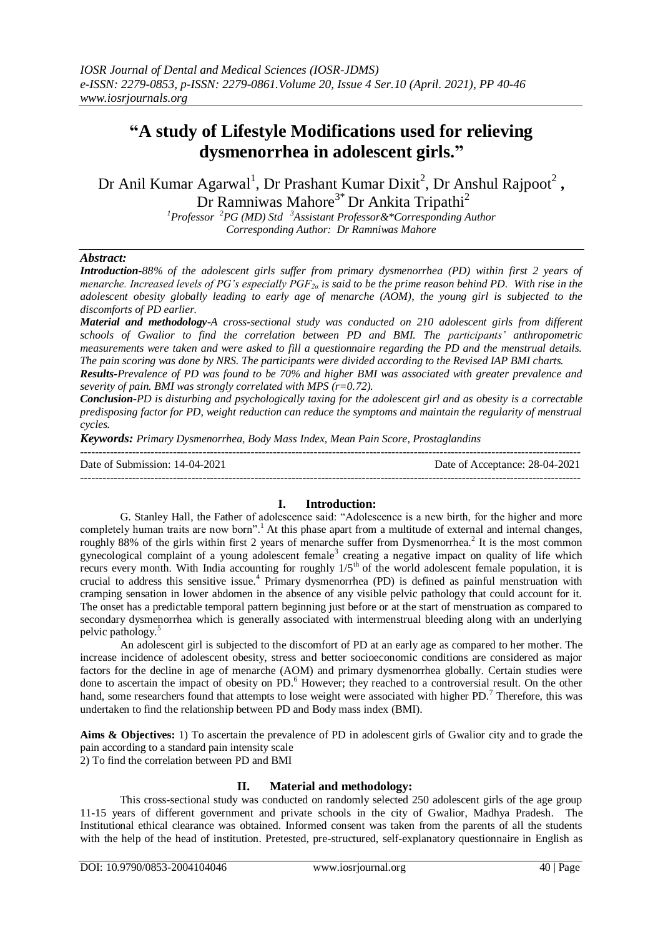# **"A study of Lifestyle Modifications used for relieving dysmenorrhea in adolescent girls."**

Dr Anil Kumar Agarwal<sup>1</sup>, Dr Prashant Kumar Dixit<sup>2</sup>, Dr Anshul Rajpoot<sup>2</sup>, Dr Ramniwas Mahore<sup>3\*</sup> Dr Ankita Tripathi<sup>2</sup>

> *<sup>1</sup>Professor <sup>2</sup>PG (MD) Std <sup>3</sup>Assistant Professor&\*Corresponding Author Corresponding Author: Dr Ramniwas Mahore*

## *Abstract:*

*Introduction-88% of the adolescent girls suffer from primary dysmenorrhea (PD) within first 2 years of menarche. Increased levels of PG's especially PGF2α is said to be the prime reason behind PD. With rise in the adolescent obesity globally leading to early age of menarche (AOM), the young girl is subjected to the discomforts of PD earlier.* 

*Material and methodology-A cross-sectional study was conducted on 210 adolescent girls from different schools of Gwalior to find the correlation between PD and BMI. The participants' anthropometric measurements were taken and were asked to fill a questionnaire regarding the PD and the menstrual details. The pain scoring was done by NRS. The participants were divided according to the Revised IAP BMI charts.* 

*Results-Prevalence of PD was found to be 70% and higher BMI was associated with greater prevalence and severity of pain. BMI was strongly correlated with MPS (r=0.72).* 

*Conclusion-PD is disturbing and psychologically taxing for the adolescent girl and as obesity is a correctable predisposing factor for PD, weight reduction can reduce the symptoms and maintain the regularity of menstrual cycles.*

*Keywords: Primary Dysmenorrhea, Body Mass Index, Mean Pain Score, Prostaglandins*

| Date of Submission: 14-04-2021 | Date of Acceptance: 28-04-2021 |
|--------------------------------|--------------------------------|
|                                |                                |

# **I. Introduction:**

G. Stanley Hall, the Father of adolescence said: "Adolescence is a new birth, for the higher and more completely human traits are now born".<sup>1</sup> At this phase apart from a multitude of external and internal changes, roughly 88% of the girls within first 2 years of menarche suffer from Dysmenorrhea.<sup>2</sup> It is the most common gynecological complaint of a young adolescent female<sup>3</sup> creating a negative impact on quality of life which recurs every month. With India accounting for roughly  $1/5<sup>th</sup>$  of the world adolescent female population, it is crucial to address this sensitive issue.<sup>4</sup> Primary dysmenorrhea (PD) is defined as painful menstruation with cramping sensation in lower abdomen in the absence of any visible pelvic pathology that could account for it. The onset has a predictable temporal pattern beginning just before or at the start of menstruation as compared to secondary dysmenorrhea which is generally associated with intermenstrual bleeding along with an underlying pelvic pathology.<sup>5</sup>

An adolescent girl is subjected to the discomfort of PD at an early age as compared to her mother. The increase incidence of adolescent obesity, stress and better socioeconomic conditions are considered as major factors for the decline in age of menarche (AOM) and primary dysmenorrhea globally. Certain studies were done to ascertain the impact of obesity on PD. <sup>6</sup> However; they reached to a controversial result. On the other hand, some researchers found that attempts to lose weight were associated with higher PD.<sup>7</sup> Therefore, this was undertaken to find the relationship between PD and Body mass index (BMI).

**Aims & Objectives:** 1) To ascertain the prevalence of PD in adolescent girls of Gwalior city and to grade the pain according to a standard pain intensity scale 2) To find the correlation between PD and BMI

## **II. Material and methodology:**

This cross-sectional study was conducted on randomly selected 250 adolescent girls of the age group 11-15 years of different government and private schools in the city of Gwalior, Madhya Pradesh. The Institutional ethical clearance was obtained. Informed consent was taken from the parents of all the students with the help of the head of institution. Pretested, pre-structured, self-explanatory questionnaire in English as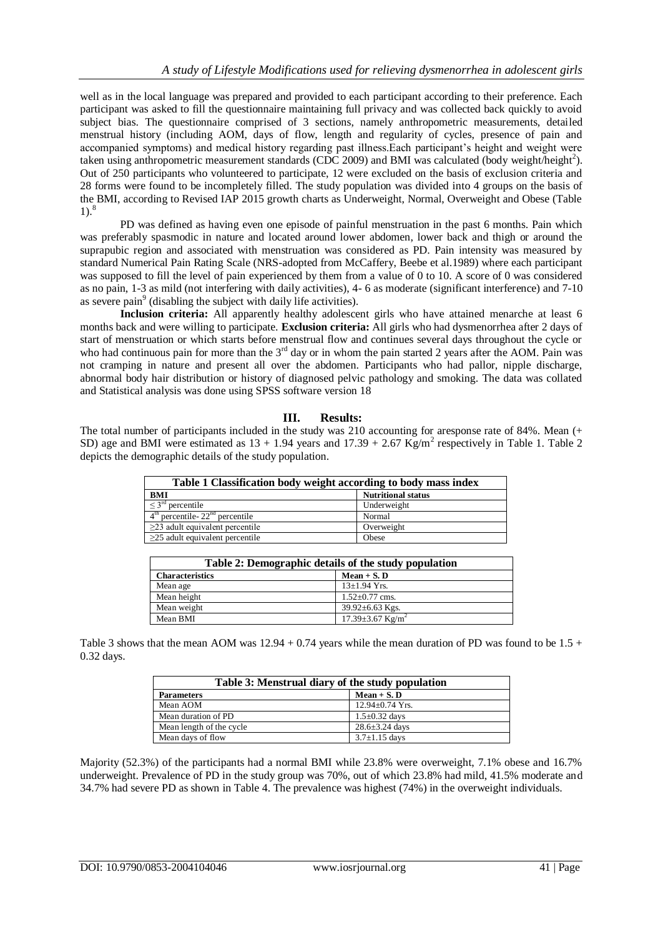well as in the local language was prepared and provided to each participant according to their preference. Each participant was asked to fill the questionnaire maintaining full privacy and was collected back quickly to avoid subject bias. The questionnaire comprised of 3 sections, namely anthropometric measurements, detailed menstrual history (including AOM, days of flow, length and regularity of cycles, presence of pain and accompanied symptoms) and medical history regarding past illness.Each participant's height and weight were taken using anthropometric measurement standards (CDC 2009) and BMI was calculated (body weight/height<sup>2</sup>). Out of 250 participants who volunteered to participate, 12 were excluded on the basis of exclusion criteria and 28 forms were found to be incompletely filled. The study population was divided into 4 groups on the basis of the BMI, according to Revised IAP 2015 growth charts as Underweight, Normal, Overweight and Obese (Table 1).<sup>8</sup>

PD was defined as having even one episode of painful menstruation in the past 6 months. Pain which was preferably spasmodic in nature and located around lower abdomen, lower back and thigh or around the suprapubic region and associated with menstruation was considered as PD. Pain intensity was measured by standard Numerical Pain Rating Scale (NRS-adopted from McCaffery, Beebe et al.1989) where each participant was supposed to fill the level of pain experienced by them from a value of 0 to 10. A score of 0 was considered as no pain, 1-3 as mild (not interfering with daily activities), 4- 6 as moderate (significant interference) and 7-10 as severe pain<sup>9</sup> (disabling the subject with daily life activities).

**Inclusion criteria:** All apparently healthy adolescent girls who have attained menarche at least 6 months back and were willing to participate. **Exclusion criteria:** All girls who had dysmenorrhea after 2 days of start of menstruation or which starts before menstrual flow and continues several days throughout the cycle or who had continuous pain for more than the  $3<sup>rd</sup>$  day or in whom the pain started 2 years after the AOM. Pain was not cramping in nature and present all over the abdomen. Participants who had pallor, nipple discharge, abnormal body hair distribution or history of diagnosed pelvic pathology and smoking. The data was collated and Statistical analysis was done using SPSS software version 18

# **III. Results:**

The total number of participants included in the study was 210 accounting for aresponse rate of 84%. Mean (+ SD) age and BMI were estimated as  $13 + 1.94$  years and  $17.39 + 2.67$  Kg/m<sup>2</sup> respectively in Table 1. Table 2 depicts the demographic details of the study population.

| Table 1 Classification body weight according to body mass index |                           |  |  |
|-----------------------------------------------------------------|---------------------------|--|--|
| <b>BMI</b>                                                      | <b>Nutritional status</b> |  |  |
| $\leq 3^{\rm rd}$<br>$\mu$ percentile                           | Underweight               |  |  |
| $4th$ percentile- $22nd$ percentile                             | Normal                    |  |  |
| $\geq$ 23 adult equivalent percentile                           | Overweight                |  |  |
| $\geq$ 25 adult equivalent percentile                           | Obese                     |  |  |

| Table 2: Demographic details of the study population |                                    |  |  |
|------------------------------------------------------|------------------------------------|--|--|
| <b>Characteristics</b>                               | $Mean + S. D$                      |  |  |
| Mean age                                             | $13 \pm 1.94$ Yrs.                 |  |  |
| Mean height                                          | $1.52 \pm 0.77$ cms.               |  |  |
| Mean weight                                          | 39.92 $\pm$ 6.63 Kgs.              |  |  |
| Mean BMI                                             | $17.39 \pm 3.67$ Kg/m <sup>2</sup> |  |  |

Table 3 shows that the mean AOM was  $12.94 + 0.74$  years while the mean duration of PD was found to be  $1.5 +$ 0.32 days.

| Table 3: Menstrual diary of the study population |                       |  |  |
|--------------------------------------------------|-----------------------|--|--|
| <b>Parameters</b>                                | $Mean + S. D$         |  |  |
| Mean AOM                                         | $12.94 \pm 0.74$ Yrs. |  |  |
| Mean duration of PD                              | $1.5 \pm 0.32$ days   |  |  |
| Mean length of the cycle                         | $28.6 \pm 3.24$ days  |  |  |
| Mean days of flow                                | $3.7 \pm 1.15$ days   |  |  |

Majority (52.3%) of the participants had a normal BMI while 23.8% were overweight, 7.1% obese and 16.7% underweight. Prevalence of PD in the study group was 70%, out of which 23.8% had mild, 41.5% moderate and 34.7% had severe PD as shown in Table 4. The prevalence was highest (74%) in the overweight individuals.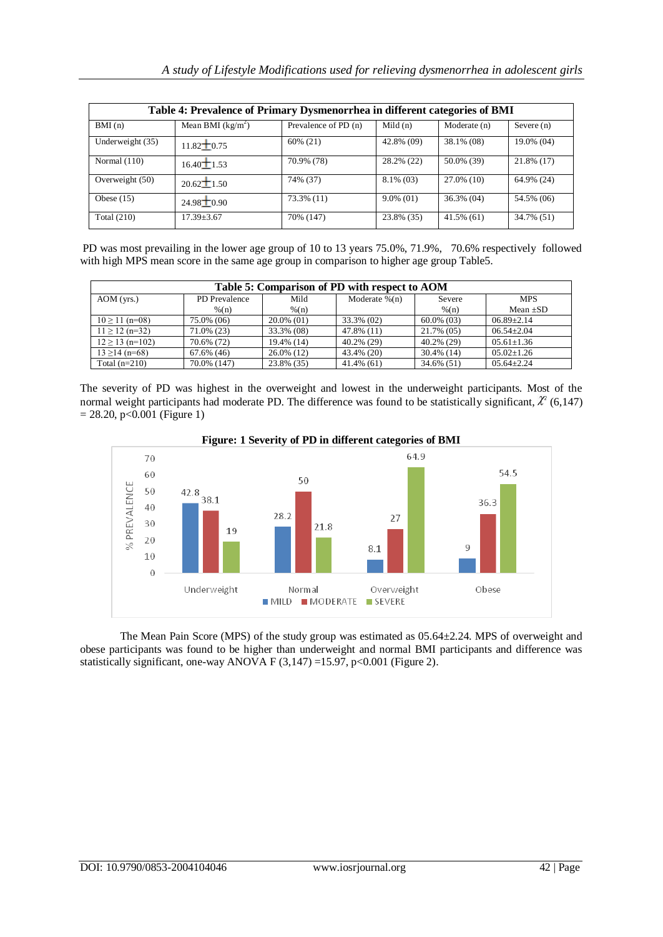| Table 4: Prevalence of Primary Dysmenorrhea in different categories of BMI |                    |                      |              |               |              |
|----------------------------------------------------------------------------|--------------------|----------------------|--------------|---------------|--------------|
| BMI(n)                                                                     | Mean BMI $(kg/m2)$ | Prevalence of PD (n) | Mild $(n)$   | Moderate (n)  | Severe $(n)$ |
| Underweight (35)                                                           | $11.82 \pm 0.75$   | $60\% (21)$          | 42.8% (09)   | 38.1% (08)    | 19.0% (04)   |
| Normal $(110)$                                                             | $16.40 \pm 1.53$   | 70.9% (78)           | 28.2% (22)   | 50.0% (39)    | 21.8% (17)   |
| Overweight (50)                                                            | $20.62 \pm 1.50$   | 74% (37)             | $8.1\%$ (03) | $27.0\%$ (10) | 64.9% (24)   |
| Obese $(15)$                                                               | $24.98 \pm 0.90$   | 73.3% (11)           | $9.0\%$ (01) | $36.3\%$ (04) | 54.5% (06)   |
| Total $(210)$                                                              | $17.39 \pm 3.67$   | 70% (147)            | 23.8% (35)   | $41.5\%$ (61) | 34.7% (51)   |

PD was most prevailing in the lower age group of 10 to 13 years 75.0%, 71.9%, 70.6% respectively followed with high MPS mean score in the same age group in comparison to higher age group Table5.

| Table 5: Comparison of PD with respect to AOM |                  |                  |                   |                  |                  |
|-----------------------------------------------|------------------|------------------|-------------------|------------------|------------------|
| $AOM$ (yrs.)                                  | PD Prevalence    | Mild             | Moderate $\%$ (n) | Severe           | <b>MPS</b>       |
|                                               | $\frac{\%{n}}{}$ | $\frac{\%{n}}{}$ |                   | $\frac{\%{n}}{}$ | Mean $\pm SD$    |
| $10 \ge 11$ (n=08)                            | 75.0% (06)       | $20.0\%$ (01)    | 33.3% (02)        | $60.0\%$ (03)    | $06.89 + 2.14$   |
| $11 > 12$ (n=32)                              | 71.0% (23)       | 33.3% (08)       | 47.8% (11)        | 21.7% (05)       | $06.54 + 2.04$   |
| $12 \ge 13$ (n=102)                           | 70.6% (72)       | 19.4% (14)       | 40.2% (29)        | 40.2% (29)       | $05.61 \pm 1.36$ |
| $13 \ge 14$ (n=68)                            | 67.6% (46)       | 26.0% (12)       | 43.4% (20)        | $30.4\%$ (14)    | $05.02 \pm 1.26$ |
| Total $(n=210)$                               | 70.0% (147)      | 23.8% (35)       | $41.4\%$ (61)     | 34.6% (51)       | $0.564 + 2.24$   |

The severity of PD was highest in the overweight and lowest in the underweight participants. Most of the normal weight participants had moderate PD. The difference was found to be statistically significant,  $\ell^2$  (6,147)  $= 28.20$ , p<0.001 (Figure 1)



**Figure: 1 Severity of PD in different categories of BMI**

The Mean Pain Score (MPS) of the study group was estimated as 05.64±2.24. MPS of overweight and obese participants was found to be higher than underweight and normal BMI participants and difference was statistically significant, one-way ANOVA F (3,147) =15.97, p<0.001 (Figure 2).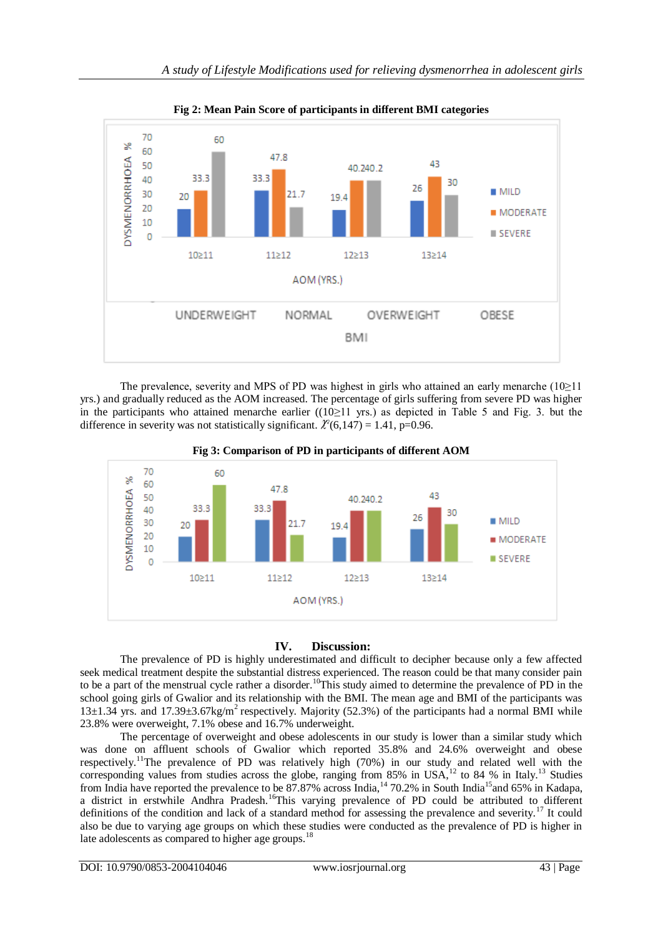

**Fig 2: Mean Pain Score of participants in different BMI categories**

The prevalence, severity and MPS of PD was highest in girls who attained an early menarche (10≥11 yrs.) and gradually reduced as the AOM increased. The percentage of girls suffering from severe PD was higher in the participants who attained menarche earlier ((10≥11 yrs.) as depicted in Table 5 and Fig. 3. but the difference in severity was not statistically significant.  $\ell^2(6,147) = 1.41$ , p=0.96.



**Fig 3: Comparison of PD in participants of different AOM**

# **IV. Discussion:**

The prevalence of PD is highly underestimated and difficult to decipher because only a few affected seek medical treatment despite the substantial distress experienced. The reason could be that many consider pain to be a part of the menstrual cycle rather a disorder.<sup>10</sup>This study aimed to determine the prevalence of PD in the school going girls of Gwalior and its relationship with the BMI. The mean age and BMI of the participants was 13 $\pm$ 1.34 yrs. and 17.39 $\pm$ 3.67kg/m<sup>2</sup> respectively. Majority (52.3%) of the participants had a normal BMI while 23.8% were overweight, 7.1% obese and 16.7% underweight.

The percentage of overweight and obese adolescents in our study is lower than a similar study which was done on affluent schools of Gwalior which reported 35.8% and 24.6% overweight and obese respectively.<sup>11</sup>The prevalence of PD was relatively high (70%) in our study and related well with the corresponding values from studies across the globe, ranging from  $85\%$  in USA,<sup>12</sup> to 84 % in Italy.<sup>13</sup> Studies from India have reported the prevalence to be 87.87% across India,<sup>14</sup> 70.2% in South India<sup>15</sup> and 65% in Kadapa, a district in erstwhile Andhra Pradesh.<sup>16</sup>This varying prevalence of PD could be attributed to different definitions of the condition and lack of a standard method for assessing the prevalence and severity.<sup>17</sup> It could also be due to varying age groups on which these studies were conducted as the prevalence of PD is higher in late adolescents as compared to higher age groups.<sup>1</sup>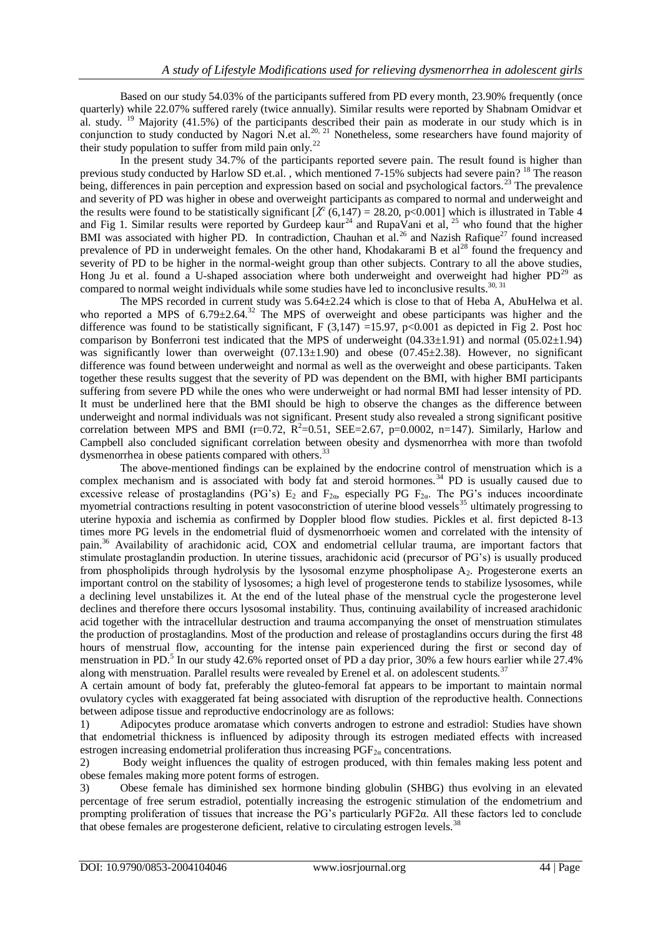Based on our study 54.03% of the participants suffered from PD every month, 23.90% frequently (once quarterly) while 22.07% suffered rarely (twice annually). Similar results were reported by Shabnam Omidvar et al. study. <sup>19</sup> Majority (41.5%) of the participants described their pain as moderate in our study which is in conjunction to study conducted by Nagori N.et al.<sup>20, 21</sup> Nonetheless, some researchers have found majority of their study population to suffer from mild pain only.<sup>22</sup>

In the present study 34.7% of the participants reported severe pain. The result found is higher than previous study conducted by Harlow SD et.al., which mentioned 7-15% subjects had severe pain? <sup>18</sup> The reason being, differences in pain perception and expression based on social and psychological factors.<sup>23</sup> The prevalence and severity of PD was higher in obese and overweight participants as compared to normal and underweight and the results were found to be statistically significant  $\chi^2$  (6,147) = 28.20, p<0.001] which is illustrated in Table 4 and Fig 1. Similar results were reported by Gurdeep kaur<sup>24</sup> and RupaVani et al,  $^{25}$  who found that the higher BMI was associated with higher PD. In contradiction, Chauhan et al.<sup>26</sup> and Nazish Rafique<sup>27</sup> found increased prevalence of PD in underweight females. On the other hand, Khodakarami B et al<sup>28</sup> found the frequency and severity of PD to be higher in the normal-weight group than other subjects. Contrary to all the above studies, Hong Ju et al. found a U-shaped association where both underweight and overweight had higher  $PD^{29}$  as compared to normal weight individuals while some studies have led to inconclusive results.<sup>30, 31</sup>

The MPS recorded in current study was 5.64±2.24 which is close to that of Heba A, AbuHelwa et al. who reported a MPS of  $6.79\pm2.64$ <sup>32</sup> The MPS of overweight and obese participants was higher and the difference was found to be statistically significant,  $F(3,147) = 15.97$ ,  $p<0.001$  as depicted in Fig 2. Post hoc comparison by Bonferroni test indicated that the MPS of underweight  $(04.33\pm1.91)$  and normal  $(05.02\pm1.94)$ was significantly lower than overweight  $(07.13\pm1.90)$  and obese  $(07.45\pm2.38)$ . However, no significant difference was found between underweight and normal as well as the overweight and obese participants. Taken together these results suggest that the severity of PD was dependent on the BMI, with higher BMI participants suffering from severe PD while the ones who were underweight or had normal BMI had lesser intensity of PD. It must be underlined here that the BMI should be high to observe the changes as the difference between underweight and normal individuals was not significant. Present study also revealed a strong significant positive correlation between MPS and BMI ( $r=0.72$ ,  $\mathbb{R}^2=0.51$ , SEE=2.67,  $p=0.0002$ ,  $n=147$ ). Similarly, Harlow and Campbell also concluded significant correlation between obesity and dysmenorrhea with more than twofold dysmenorrhea in obese patients compared with others.<sup>33</sup>

The above-mentioned findings can be explained by the endocrine control of menstruation which is a complex mechanism and is associated with body fat and steroid hormones.<sup>34</sup> PD is usually caused due to excessive release of prostaglandins (PG's)  $E_2$  and  $F_{2\alpha}$ , especially PG  $F_{2\alpha}$ . The PG's induces incoordinate myometrial contractions resulting in potent vasoconstriction of uterine blood vessels<sup>35</sup> ultimately progressing to myometrial uterine hypoxia and ischemia as confirmed by Doppler blood flow studies. Pickles et al. first depicted 8-13 times more PG levels in the endometrial fluid of dysmenorrhoeic women and correlated with the intensity of pain.<sup>36</sup> Availability of arachidonic acid, COX and endometrial cellular trauma, are important factors that stimulate prostaglandin production. In uterine tissues, arachidonic acid (precursor of PG's) is usually produced from phospholipids through hydrolysis by the lysosomal enzyme phospholipase  $A_2$ . Progesterone exerts an important control on the stability of lysosomes; a high level of progesterone tends to stabilize lysosomes, while a declining level unstabilizes it. At the end of the luteal phase of the menstrual cycle the progesterone level declines and therefore there occurs lysosomal instability. Thus, continuing availability of increased arachidonic acid together with the intracellular destruction and trauma accompanying the onset of menstruation stimulates the production of prostaglandins. Most of the production and release of prostaglandins occurs during the first 48 hours of menstrual flow, accounting for the intense pain experienced during the first or second day of menstruation in PD.<sup>5</sup> In our study 42.6% reported onset of PD a day prior, 30% a few hours earlier while 27.4% along with menstruation. Parallel results were revealed by Erenel et al. on adolescent students.<sup>37</sup>

A certain amount of body fat, preferably the gluteo-femoral fat appears to be important to maintain normal ovulatory cycles with exaggerated fat being associated with disruption of the reproductive health. Connections between adipose tissue and reproductive endocrinology are as follows:

1) Adipocytes produce aromatase which converts androgen to estrone and estradiol: Studies have shown that endometrial thickness is influenced by adiposity through its estrogen mediated effects with increased estrogen increasing endometrial proliferation thus increasing  $PGF_{2\alpha}$  concentrations.

2) Body weight influences the quality of estrogen produced, with thin females making less potent and obese females making more potent forms of estrogen.

3) Obese female has diminished sex hormone binding globulin (SHBG) thus evolving in an elevated percentage of free serum estradiol, potentially increasing the estrogenic stimulation of the endometrium and prompting proliferation of tissues that increase the PG's particularly PGF2α. All these factors led to conclude that obese females are progesterone deficient, relative to circulating estrogen levels.<sup>38</sup>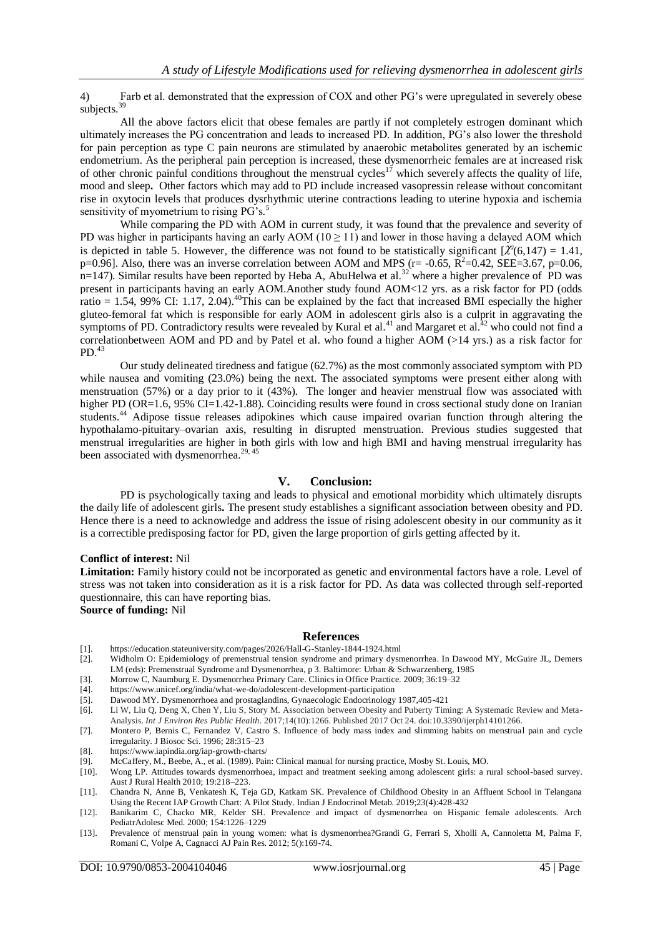4) Farb et al. demonstrated that the expression of COX and other PG's were upregulated in severely obese subjects.<sup>39</sup>

All the above factors elicit that obese females are partly if not completely estrogen dominant which ultimately increases the PG concentration and leads to increased PD. In addition, PG's also lower the threshold for pain perception as type C pain neurons are stimulated by anaerobic metabolites generated by an ischemic endometrium. As the peripheral pain perception is increased, these dysmenorrheic females are at increased risk of other chronic painful conditions throughout the menstrual cycles<sup>17</sup> which severely affects the quality of life, mood and sleep**.** Other factors which may add to PD include increased vasopressin release without concomitant rise in oxytocin levels that produces dysrhythmic uterine contractions leading to uterine hypoxia and ischemia sensitivity of myometrium to rising PG's.<sup>5</sup>

While comparing the PD with AOM in current study, it was found that the prevalence and severity of PD was higher in participants having an early AOM ( $10 \ge 11$ ) and lower in those having a delayed AOM which is depicted in table 5. However, the difference was not found to be statistically significant  $\chi^2(6,147) = 1.41$ , p=0.96]. Also, there was an inverse correlation between AOM and MPS (r= -0.65,  $\overline{R}^2$ =0.42, SEE=3.67, p=0.06,  $n=147$ ). Similar results have been reported by Heba A, AbuHelwa et al.<sup>32</sup> where a higher prevalence of PD was present in participants having an early AOM.Another study found AOM<12 yrs. as a risk factor for PD (odds ratio = 1.54, 99% CI: 1.17, 2.04).<sup>40</sup>This can be explained by the fact that increased BMI especially the higher gluteo-femoral fat which is responsible for early AOM in adolescent girls also is a culprit in aggravating the symptoms of PD. Contradictory results were revealed by Kural et al.<sup>41</sup> and Margaret et al.<sup>42</sup> who could not find a correlationbetween AOM and PD and by Patel et al. who found a higher AOM (>14 yrs.) as a risk factor for  $PD<sup>43</sup>$ 

Our study delineated tiredness and fatigue (62.7%) as the most commonly associated symptom with PD while nausea and vomiting (23.0%) being the next. The associated symptoms were present either along with menstruation (57%) or a day prior to it (43%). The longer and heavier menstrual flow was associated with higher PD (OR=1.6, 95% CI=1.42-1.88). Coinciding results were found in cross sectional study done on Iranian students.<sup>44</sup> Adipose tissue releases adipokines which cause impaired ovarian function through altering the hypothalamo-pituitary–ovarian axis, resulting in disrupted menstruation. Previous studies suggested that menstrual irregularities are higher in both girls with low and high BMI and having menstrual irregularity has been associated with dysmenorrhea.<sup>29, 45</sup>

#### **V. Conclusion:**

PD is psychologically taxing and leads to physical and emotional morbidity which ultimately disrupts the daily life of adolescent girls**.** The present study establishes a significant association between obesity and PD. Hence there is a need to acknowledge and address the issue of rising adolescent obesity in our community as it is a correctible predisposing factor for PD, given the large proportion of girls getting affected by it.

#### **Conflict of interest:** Nil

Limitation: Family history could not be incorporated as genetic and environmental factors have a role. Level of stress was not taken into consideration as it is a risk factor for PD. As data was collected through self-reported questionnaire, this can have reporting bias.

**Source of funding:** Nil

#### **References**

- [1]. <https://education.stateuniversity.com/pages/2026/Hall-G-Stanley-1844-1924.html>
- [2]. Widholm O: Epidemiology of premenstrual tension syndrome and primary dysmenorrhea. In Dawood MY, McGuire JL, Demers LM (eds): Premenstrual Syndrome and Dysmenorrhea, p 3. Baltimore: Urban & Schwarzenberg, 1985
- [3]. Morrow C, Naumburg E. Dysmenorrhea Primary Care. Clinics in Office Practice. 2009; 36:19–32<br>[4]. https://www.unicef.org/india/what-we-do/adolescent-development-participation
- [4]. https://www.unicef.org/india/what-we-do/adolescent-development-participation
- Dawood MY. Dysmenorrhoea and prostaglandins, Gynaecologic Endocrinology 1987,405-421
- [6]. Li W, Liu Q, Deng X, Chen Y, Liu S, Story M. Association between Obesity and Puberty Timing: A Systematic Review and Meta-Analysis. *Int J Environ Res Public Health*. 2017;14(10):1266. Published 2017 Oct 24. doi:10.3390/ijerph14101266.
- [7]. Montero P, Bernis C, Fernandez V, Castro S. Influence of body mass index and slimming habits on menstrual pain and cycle irregularity. J Biosoc Sci. 1996; 28:315–23
- [8]. https://www.iapindia.org/iap-growth-charts/
- [9]. McCaffery, M., Beebe, A., et al. (1989). Pain: Clinical manual for nursing practice, Mosby St. Louis, MO.
- Wong LP. Attitudes towards dysmenorrhoea, impact and treatment seeking among adolescent girls: a rural school-based survey. Aust J Rural Health 2010; 19:218–223.
- [11]. Chandra N, Anne B, Venkatesh K, Teja GD, Katkam SK. Prevalence of Childhood Obesity in an Affluent School in Telangana Using the Recent IAP Growth Chart: A Pilot Study. Indian J Endocrinol Metab. 2019;23(4):428-432
- [12]. Banikarim C, Chacko MR, Kelder SH. Prevalence and impact of dysmenorrhea on Hispanic female adolescents. Arch PediatrAdolesc Med. 2000; 154:1226–1229
- [13]. Prevalence of menstrual pain in young women: what is dysmenorrhea?Grandi G, Ferrari S, Xholli A, Cannoletta M, Palma F, Romani C, Volpe A, Cagnacci AJ Pain Res. 2012; 5():169-74.